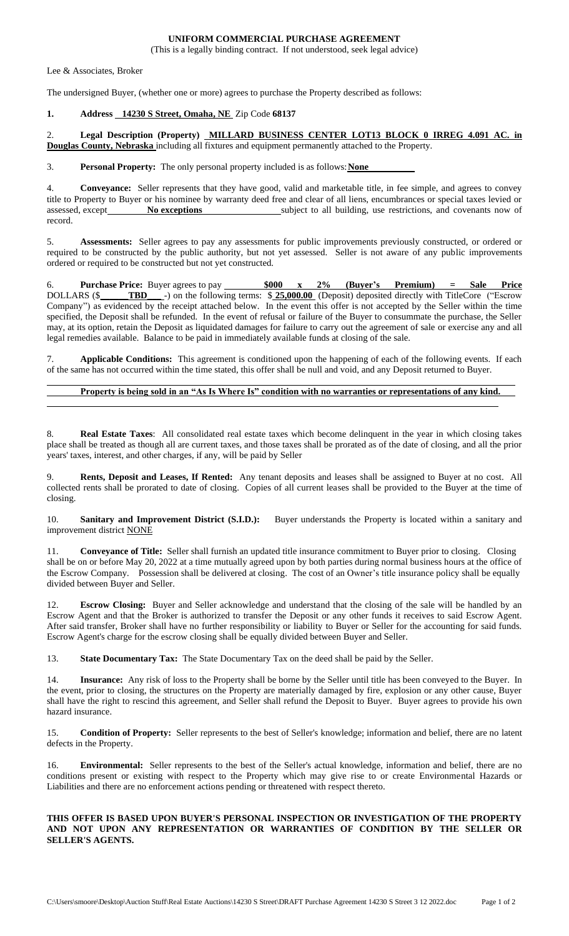## **UNIFORM COMMERCIAL PURCHASE AGREEMENT**

(This is a legally binding contract. If not understood, seek legal advice)

Lee & Associates, Broker

The undersigned Buyer, (whether one or more) agrees to purchase the Property described as follows:

#### **1. Address 14230 S Street, Omaha, NE** Zip Code **68137**

2. **Legal Description (Property) MILLARD BUSINESS CENTER LOT13 BLOCK 0 IRREG 4.091 AC. in Douglas County, Nebraska** including all fixtures and equipment permanently attached to the Property.

3. **Personal Property:** The only personal property included is as follows:**None**

4. **Conveyance:** Seller represents that they have good, valid and marketable title, in fee simple, and agrees to convey title to Property to Buyer or his nominee by warranty deed free and clear of all liens, encumbrances or special taxes levied or assessed, except **No exceptions** subject to all building, use restrictions, and covenants now of record.

5. **Assessments:** Seller agrees to pay any assessments for public improvements previously constructed, or ordered or required to be constructed by the public authority, but not yet assessed. Seller is not aware of any public improvements ordered or required to be constructed but not yet constructed.

6. **Purchase Price:** Buyer agrees to pay **\$000 x 2% (Buyer's Premium) = Sale Price**  DOLLARS (\$**\_\_\_\_\_\_TBD\_\_\_** -) on the following terms: \$ **25,000.00** (Deposit) deposited directly with TitleCore ("Escrow Company") as evidenced by the receipt attached below. In the event this offer is not accepted by the Seller within the time specified, the Deposit shall be refunded. In the event of refusal or failure of the Buyer to consummate the purchase, the Seller may, at its option, retain the Deposit as liquidated damages for failure to carry out the agreement of sale or exercise any and all legal remedies available. Balance to be paid in immediately available funds at closing of the sale.

7. **Applicable Conditions:** This agreement is conditioned upon the happening of each of the following events. If each of the same has not occurred within the time stated, this offer shall be null and void, and any Deposit returned to Buyer.

# **Property is being sold in an "As Is Where Is" condition with no warranties or representations of any kind.**

8. **Real Estate Taxes**: All consolidated real estate taxes which become delinquent in the year in which closing takes place shall be treated as though all are current taxes, and those taxes shall be prorated as of the date of closing, and all the prior years' taxes, interest, and other charges, if any, will be paid by Seller

9. **Rents, Deposit and Leases, If Rented:** Any tenant deposits and leases shall be assigned to Buyer at no cost. All collected rents shall be prorated to date of closing. Copies of all current leases shall be provided to the Buyer at the time of closing.

10. **Sanitary and Improvement District (S.I.D.):** Buyer understands the Property is located within a sanitary and improvement district NONE

11. **Conveyance of Title:** Seller shall furnish an updated title insurance commitment to Buyer prior to closing. Closing shall be on or before May 20, 2022 at a time mutually agreed upon by both parties during normal business hours at the office of the Escrow Company. Possession shall be delivered at closing. The cost of an Owner's title insurance policy shall be equally divided between Buyer and Seller.

12. **Escrow Closing:** Buyer and Seller acknowledge and understand that the closing of the sale will be handled by an Escrow Agent and that the Broker is authorized to transfer the Deposit or any other funds it receives to said Escrow Agent. After said transfer, Broker shall have no further responsibility or liability to Buyer or Seller for the accounting for said funds. Escrow Agent's charge for the escrow closing shall be equally divided between Buyer and Seller.

13. **State Documentary Tax:** The State Documentary Tax on the deed shall be paid by the Seller.

14. **Insurance:** Any risk of loss to the Property shall be borne by the Seller until title has been conveyed to the Buyer. In the event, prior to closing, the structures on the Property are materially damaged by fire, explosion or any other cause, Buyer shall have the right to rescind this agreement, and Seller shall refund the Deposit to Buyer. Buyer agrees to provide his own hazard insurance.

15. **Condition of Property:** Seller represents to the best of Seller's knowledge; information and belief, there are no latent defects in the Property.

16. **Environmental:** Seller represents to the best of the Seller's actual knowledge, information and belief, there are no conditions present or existing with respect to the Property which may give rise to or create Environmental Hazards or Liabilities and there are no enforcement actions pending or threatened with respect thereto.

#### **THIS OFFER IS BASED UPON BUYER'S PERSONAL INSPECTION OR INVESTIGATION OF THE PROPERTY AND NOT UPON ANY REPRESENTATION OR WARRANTIES OF CONDITION BY THE SELLER OR SELLER'S AGENTS.**